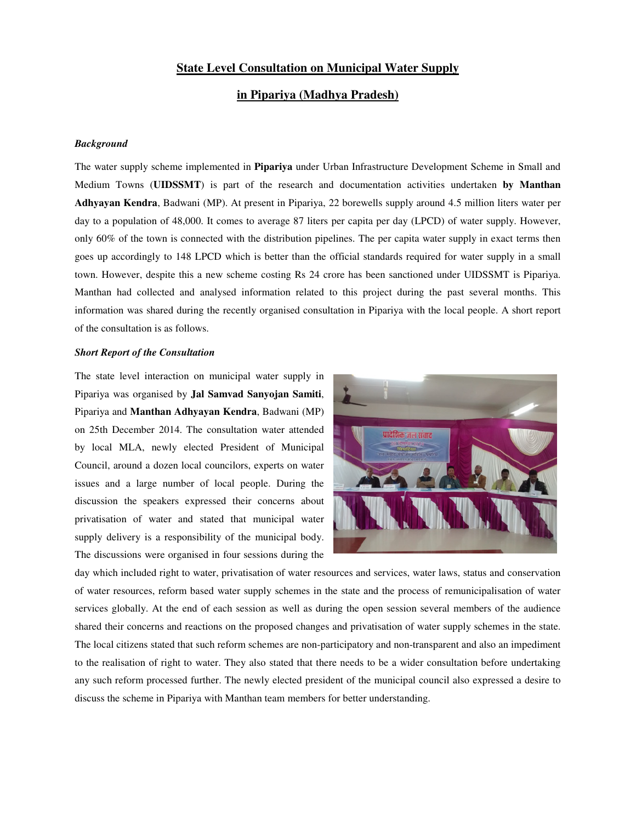## **State Level Consultation on Municipal Water Supply**

## **in Pipariya (Madhya Pradesh)**

## *Background*

The water supply scheme implemented in **Pipariya** under Urban Infrastructure Development Scheme in Small and Medium Towns (**UIDSSMT**) is part of the research and documentation activities undertaken **by Manthan Adhyayan Kendra**, Badwani (MP). At present in Pipariya, 22 borewells supply around 4.5 million liters water per day to a population of 48,000. It comes to average 87 liters per capita per day (LPCD) of water supply. However, only 60% of the town is connected with the distribution pipelines. The per capita water supply in exact terms then goes up accordingly to 148 LPCD which is better than the official standards required for water supply in a small town. However, despite this a new scheme costing Rs 24 crore has been sanctioned under UIDSSMT is Pipariya. Manthan had collected and analysed information related to this project during the past several months. This information was shared during the recently organised consultation in Pipariya with the local people. A short report of the consultation is as follows.

## *Short Report of the Consultation*

The state level interaction on municipal water supply in Pipariya was organised by **Jal Samvad Sanyojan Samiti**, Pipariya and **Manthan Adhyayan Kendra**, Badwani (MP) on 25th December 2014. The consultation water attended by local MLA, newly elected President of Municipal Council, around a dozen local councilors, experts on water issues and a large number of local people. During the discussion the speakers expressed their concerns about privatisation of water and stated that municipal water supply delivery is a responsibility of the municipal body. The discussions were organised in four sessions during the



day which included right to water, privatisation of water resources and services, water laws, status and conservation of water resources, reform based water supply schemes in the state and the process of remunicipalisation of water services globally. At the end of each session as well as during the open session several members of the audience shared their concerns and reactions on the proposed changes and privatisation of water supply schemes in the state. The local citizens stated that such reform schemes are non-participatory and non-transparent and also an impediment to the realisation of right to water. They also stated that there needs to be a wider consultation before undertaking any such reform processed further. The newly elected president of the municipal council also expressed a desire to discuss the scheme in Pipariya with Manthan team members for better understanding.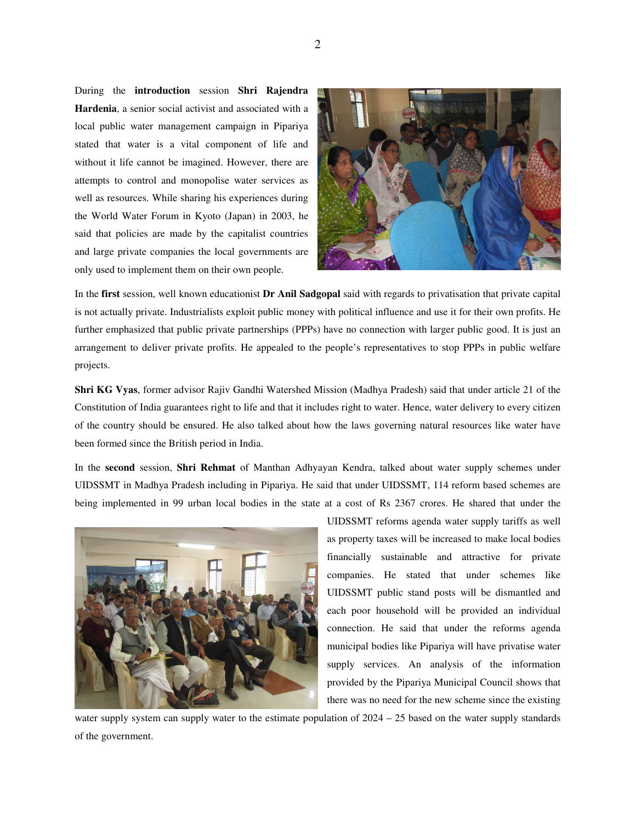During the **introduction** session **Shri Rajendra Hardenia**, a senior social activist and associated with a local public water management campaign in Pipariya stated that water is a vital component of life and without it life cannot be imagined. However, there are attempts to control and monopolise water services as well as resources. While sharing his experiences during the World Water Forum in Kyoto (Japan) in 2003, he said that policies are made by the capitalist countries and large private companies the local governments are only used to implement them on their own people.



In the **first** session, well known educationist **Dr Anil Sadgopal** said with regards to privatisation that private capital is not actually private. Industrialists exploit public money with political influence and use it for their own profits. He further emphasized that public private partnerships (PPPs) have no connection with larger public good. It is just an arrangement to deliver private profits. He appealed to the people's representatives to stop PPPs in public welfare projects.

**Shri KG Vyas**, former advisor Rajiv Gandhi Watershed Mission (Madhya Pradesh) said that under article 21 of the Constitution of India guarantees right to life and that it includes right to water. Hence, water delivery to every citizen of the country should be ensured. He also talked about how the laws governing natural resources like water have been formed since the British period in India.

In the **second** session, **Shri Rehmat** of Manthan Adhyayan Kendra, talked about water supply schemes under UIDSSMT in Madhya Pradesh including in Pipariya. He said that under UIDSSMT, 114 reform based schemes are being implemented in 99 urban local bodies in the state at a cost of Rs 2367 crores. He shared that under the



UIDSSMT reforms agenda water supply tariffs as well as property taxes will be increased to make local bodies financially sustainable and attractive for private companies. He stated that under schemes like UIDSSMT public stand posts will be dismantled and each poor household will be provided an individual connection. He said that under the reforms agenda municipal bodies like Pipariya will have privatise water supply services. An analysis of the information provided by the Pipariya Municipal Council shows that there was no need for the new scheme since the existing

water supply system can supply water to the estimate population of 2024 – 25 based on the water supply standards of the government.

2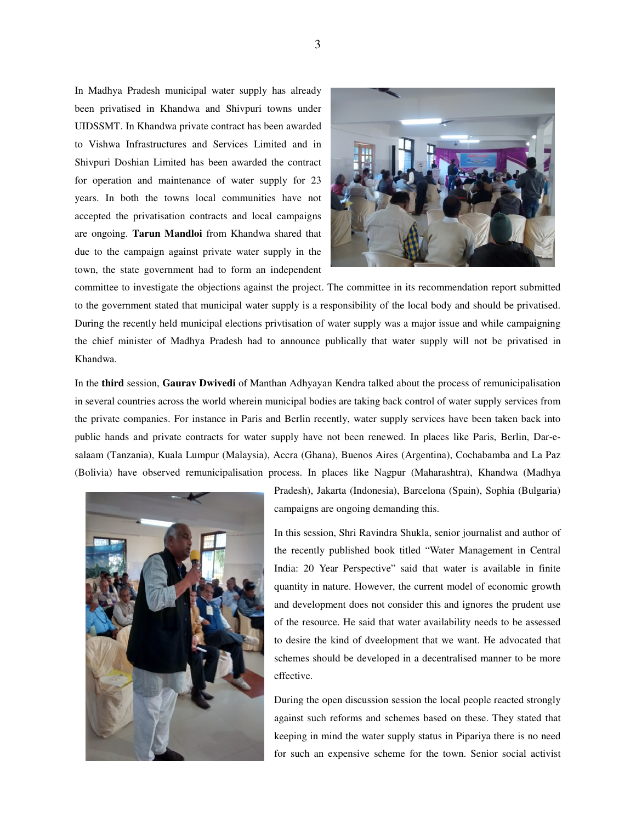In Madhya Pradesh municipal water supply has already been privatised in Khandwa and Shivpuri towns under UIDSSMT. In Khandwa private contract has been awarded to Vishwa Infrastructures and Services Limited and in Shivpuri Doshian Limited has been awarded the contract for operation and maintenance of water supply for 23 years. In both the towns local communities have not accepted the privatisation contracts and local campaigns are ongoing. **Tarun Mandloi** from Khandwa shared that due to the campaign against private water supply in the town, the state government had to form an independent



committee to investigate the objections against the project. The committee in its recommendation report submitted to the government stated that municipal water supply is a responsibility of the local body and should be privatised. During the recently held municipal elections privtisation of water supply was a major issue and while campaigning the chief minister of Madhya Pradesh had to announce publically that water supply will not be privatised in Khandwa.

In the **third** session, **Gaurav Dwivedi** of Manthan Adhyayan Kendra talked about the process of remunicipalisation in several countries across the world wherein municipal bodies are taking back control of water supply services from the private companies. For instance in Paris and Berlin recently, water supply services have been taken back into public hands and private contracts for water supply have not been renewed. In places like Paris, Berlin, Dar-esalaam (Tanzania), Kuala Lumpur (Malaysia), Accra (Ghana), Buenos Aires (Argentina), Cochabamba and La Paz (Bolivia) have observed remunicipalisation process. In places like Nagpur (Maharashtra), Khandwa (Madhya



Pradesh), Jakarta (Indonesia), Barcelona (Spain), Sophia (Bulgaria) campaigns are ongoing demanding this.

In this session, Shri Ravindra Shukla, senior journalist and author of the recently published book titled "Water Management in Central India: 20 Year Perspective" said that water is available in finite quantity in nature. However, the current model of economic growth and development does not consider this and ignores the prudent use of the resource. He said that water availability needs to be assessed to desire the kind of dveelopment that we want. He advocated that schemes should be developed in a decentralised manner to be more effective.

During the open discussion session the local people reacted strongly against such reforms and schemes based on these. They stated that keeping in mind the water supply status in Pipariya there is no need for such an expensive scheme for the town. Senior social activist

3